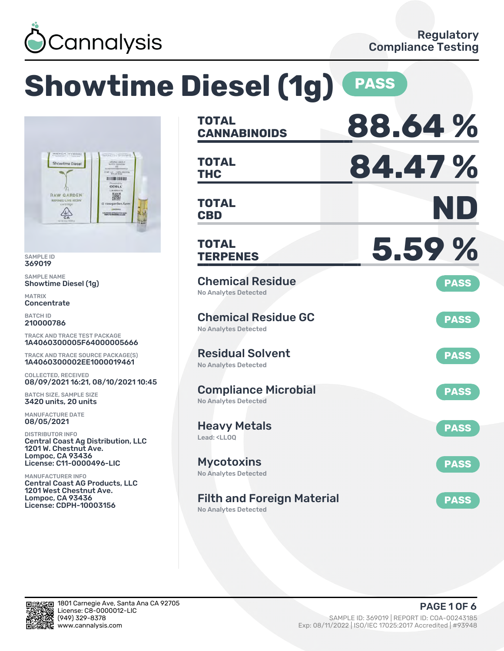

# **Showtime Diesel (1g) PASS**



SAMPLE ID 369019

SAMPLE NAME Showtime Diesel (1g)

MATRIX **Concentrate** 

BATCH ID 210000786

TRACK AND TRACE TEST PACKAGE 1A4060300005F64000005666

TRACK AND TRACE SOURCE PACKAGE(S) 1A4060300002EE1000019461

COLLECTED, RECEIVED 08/09/2021 16:21, 08/10/2021 10:45

BATCH SIZE, SAMPLE SIZE 3420 units, 20 units

MANUFACTURE DATE 08/05/2021

DISTRIBUTOR INFO Central Coast Ag Distribution, LLC 1201 W. Chestnut Ave. Lompoc, CA 93436 License: C11-0000496-LIC

MANUFACTURER INFO Central Coast AG Products, LLC 1201 West Chestnut Ave. Lompoc, CA 93436 License: CDPH-10003156

| <b>TOTAL</b><br><b>CANNABINOIDS</b>                                    | 88.64%      |
|------------------------------------------------------------------------|-------------|
| <b>TOTAL</b><br><b>THC</b>                                             | 84.47%      |
| <b>TOTAL</b><br><b>CBD</b>                                             | ND          |
| <b>TOTAL</b><br><b>TERPENES</b>                                        | 5.59%       |
| <b>Chemical Residue</b><br><b>No Analytes Detected</b>                 | <b>PASS</b> |
| <b>Chemical Residue GC</b><br><b>No Analytes Detected</b>              | <b>PASS</b> |
| <b>Residual Solvent</b><br><b>No Analytes Detected</b>                 | <b>PASS</b> |
| <b>Compliance Microbial</b><br><b>No Analytes Detected</b>             | <b>PASS</b> |
| <b>Heavy Metals</b><br>Lead: <ll00< td=""><td><b>PASS</b></td></ll00<> | <b>PASS</b> |
| <b>Mycotoxins</b><br>No Analytes Detected                              | <b>PASS</b> |
| <b>Filth and Foreign Material</b><br><b>No Analytes Detected</b>       | <b>PASS</b> |

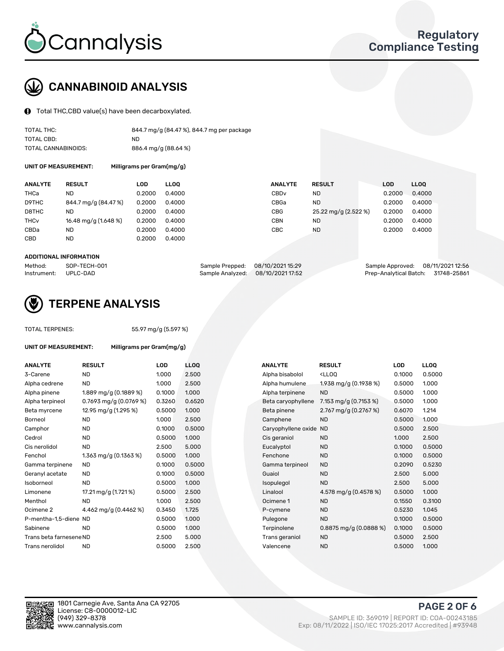

# CANNABINOID ANALYSIS

Total THC,CBD value(s) have been decarboxylated.

| TOTAL THC:          | 844.7 mg/g (84.47 %), 844.7 mg per package |
|---------------------|--------------------------------------------|
| TOTAL CBD:          | ND.                                        |
| TOTAL CANNABINOIDS: | 886.4 mg/g (88.64 %)                       |

UNIT OF MEASUREMENT: Milligrams per Gram(mg/g)

| <b>ANALYTE</b>         | <b>RESULT</b>        | LOD    | <b>LLOO</b> | <b>ANALYTE</b>   | <b>RESULT</b>        | <b>LOD</b> | <b>LLOO</b> |
|------------------------|----------------------|--------|-------------|------------------|----------------------|------------|-------------|
| THCa                   | ND                   | 0.2000 | 0.4000      | CBD <sub>v</sub> | <b>ND</b>            | 0.2000     | 0.4000      |
| D9THC                  | 844.7 mg/g (84.47 %) | 0.2000 | 0.4000      | CBGa             | <b>ND</b>            | 0.2000     | 0.4000      |
| D8THC                  | ND                   | 0.2000 | 0.4000      | <b>CBG</b>       | 25.22 mg/g (2.522 %) | 0.2000     | 0.4000      |
| <b>THC<sub>v</sub></b> | 16.48 mg/g (1.648 %) | 0.2000 | 0.4000      | CBN              | ND                   | 0.2000     | 0.4000      |
| CBDa                   | <b>ND</b>            | 0.2000 | 0.4000      | <b>CBC</b>       | <b>ND</b>            | 0.2000     | 0.4000      |
| CBD                    | ND                   | 0.2000 | 0.4000      |                  |                      |            |             |
|                        |                      |        |             |                  |                      |            |             |

#### ADDITIONAL INFORMATION

| Method:              | SOP-TECH-001 | Sample Prepped: 08/10/2021 15:29  | Sample Approved: 08/11/2021 12:56  |  |
|----------------------|--------------|-----------------------------------|------------------------------------|--|
| Instrument: UPLC-DAD |              | Sample Analyzed: 08/10/2021 17:52 | Prep-Analytical Batch: 31748-25861 |  |



## TERPENE ANALYSIS

TOTAL TERPENES: 55.97 mg/g (5.597 %)

| <b>UNIT OF MEASUREMENT:</b> | Milligrams per Gram(mg/g)  |        |                  |  |  |  |
|-----------------------------|----------------------------|--------|------------------|--|--|--|
| <b>ANALYTE</b>              | <b>RESULT</b>              | LOD    | LL <sub>0</sub>  |  |  |  |
| 3-Carene                    | <b>ND</b>                  | 1.000  | 2.5              |  |  |  |
| Alpha cedrene               | <b>ND</b>                  | 1.000  | 2.5              |  |  |  |
| Alpha pinene                | 1.889 mg/g (0.1889 %)      | 0.1000 | 1.0 <sub>1</sub> |  |  |  |
| Alpha terpineol             | $0.7693$ mg/g $(0.0769\%)$ | 0.3260 | 0.6              |  |  |  |
| Beta myrcene                | 12.95 mg/g (1.295 %)       | 0.5000 | 1.0(             |  |  |  |
| Borneol                     | <b>ND</b>                  | 1.000  | 2.5              |  |  |  |
| Camphor                     | <b>ND</b>                  | 0.1000 | 0.5              |  |  |  |
| Cedrol                      | <b>ND</b>                  | 0.5000 | 1.0(             |  |  |  |
| Cis nerolidol               | <b>ND</b>                  | 2.500  | 5.0              |  |  |  |
| Fenchol                     | $1.363$ mg/g (0.1363 %)    | 0.5000 | 1.0 <sub>1</sub> |  |  |  |
| Gamma terpinene             | <b>ND</b>                  | 0.1000 | 0.5              |  |  |  |
| Geranyl acetate             | <b>ND</b>                  | 0.1000 | 0.5              |  |  |  |
| Isoborneol                  | <b>ND</b>                  | 0.5000 | 1.0 <sub>1</sub> |  |  |  |
| Limonene                    | 17.21 mg/g (1.721 %)       | 0.5000 | 2.5              |  |  |  |
| Menthol                     | <b>ND</b>                  | 1.000  | 2.5              |  |  |  |
| Ocimene <sub>2</sub>        | 4.462 mg/g (0.4462 %)      | 0.3450 | 1.72             |  |  |  |
| P-mentha-1,5-diene ND       |                            | 0.5000 | 1.0(             |  |  |  |
| Sabinene                    | <b>ND</b>                  | 0.5000 | 1.0 <sub>1</sub> |  |  |  |
| Trans beta farnesene ND     |                            | 2.500  | 5.0              |  |  |  |
| Trans nerolidol             | <b>ND</b>                  | 0.5000 | 2.5              |  |  |  |
|                             |                            |        |                  |  |  |  |

| <b>ANALYTE</b>          | <b>RESULT</b>            | LOD    | <b>LLOQ</b> | <b>ANALYTE</b>      | <b>RESULT</b>                                       | <b>LOD</b> | <b>LLOQ</b> |
|-------------------------|--------------------------|--------|-------------|---------------------|-----------------------------------------------------|------------|-------------|
| 3-Carene                | <b>ND</b>                | 1.000  | 2.500       | Alpha bisabolol     | <ll0q< td=""><td>0.1000</td><td>0.5000</td></ll0q<> | 0.1000     | 0.5000      |
| Alpha cedrene           | <b>ND</b>                | 1.000  | 2.500       | Alpha humulene      | 1.938 mg/g $(0.1938\%)$                             | 0.5000     | 1.000       |
| Alpha pinene            | 1.889 mg/g (0.1889 %)    | 0.1000 | 1.000       | Alpha terpinene     | <b>ND</b>                                           | 0.5000     | 1.000       |
| Alpha terpineol         | 0.7693 mg/g $(0.0769\%)$ | 0.3260 | 0.6520      | Beta caryophyllene  | 7.153 mg/g (0.7153 %)                               | 0.5000     | 1.000       |
| Beta myrcene            | 12.95 mg/g (1.295 %)     | 0.5000 | 1.000       | Beta pinene         | 2.767 mg/g $(0.2767%)$                              | 0.6070     | 1.214       |
| Borneol                 | <b>ND</b>                | 1.000  | 2.500       | Camphene            | <b>ND</b>                                           | 0.5000     | 1.000       |
| Camphor                 | <b>ND</b>                | 0.1000 | 0.5000      | Caryophyllene oxide | <b>ND</b>                                           | 0.5000     | 2.500       |
| Cedrol                  | <b>ND</b>                | 0.5000 | 1.000       | Cis geraniol        | <b>ND</b>                                           | 1.000      | 2.500       |
| Cis nerolidol           | <b>ND</b>                | 2.500  | 5.000       | Eucalyptol          | <b>ND</b>                                           | 0.1000     | 0.5000      |
| Fenchol                 | 1.363 mg/g $(0.1363\%)$  | 0.5000 | 1.000       | Fenchone            | <b>ND</b>                                           | 0.1000     | 0.5000      |
| Gamma terpinene         | <b>ND</b>                | 0.1000 | 0.5000      | Gamma terpineol     | <b>ND</b>                                           | 0.2090     | 0.5230      |
| Geranyl acetate         | ND                       | 0.1000 | 0.5000      | Guaiol              | <b>ND</b>                                           | 2.500      | 5.000       |
| Isoborneol              | <b>ND</b>                | 0.5000 | 1.000       | Isopulegol          | <b>ND</b>                                           | 2.500      | 5.000       |
| Limonene                | 17.21 mg/g (1.721 %)     | 0.5000 | 2.500       | Linalool            | 4.578 mg/g (0.4578 %)                               | 0.5000     | 1.000       |
| Menthol                 | ND.                      | 1.000  | 2.500       | Ocimene 1           | <b>ND</b>                                           | 0.1550     | 0.3100      |
| Ocimene 2               | 4.462 mg/g (0.4462 %)    | 0.3450 | 1.725       | P-cymene            | <b>ND</b>                                           | 0.5230     | 1.045       |
| P-mentha-1,5-diene ND   |                          | 0.5000 | 1.000       | Pulegone            | <b>ND</b>                                           | 0.1000     | 0.5000      |
| Sabinene                | <b>ND</b>                | 0.5000 | 1.000       | Terpinolene         | $0.8875$ mg/g $(0.0888%)$                           | 0.1000     | 0.5000      |
| Trans beta farnesene ND |                          | 2.500  | 5.000       | Trans geraniol      | <b>ND</b>                                           | 0.5000     | 2.500       |
| Trans nerolidol         | <b>ND</b>                | 0.5000 | 2.500       | Valencene           | <b>ND</b>                                           | 0.5000     | 1.000       |

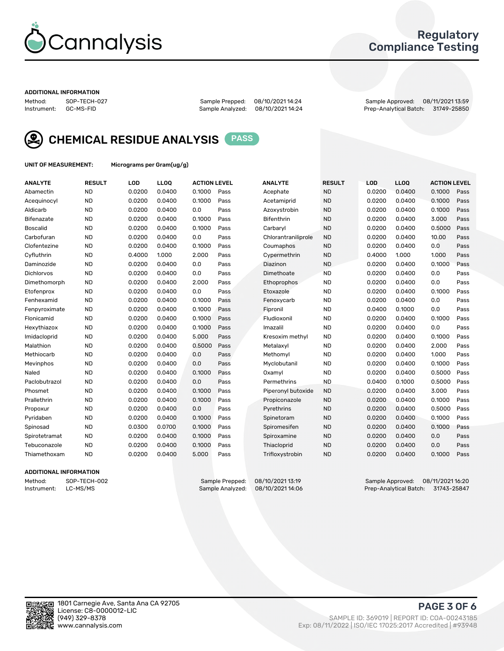

## Regulatory Compliance Testing

#### ADDITIONAL INFORMATION

| Method:     | SOP-TECH-02 |
|-------------|-------------|
| Instrument: | GC-MS-FID   |

Method: SOP-TECH-027 Sample Prepped: 08/10/2021 14:24 Sample Approved: 08/11/2021 13:59 Prep-Analytical Batch: 31749-25850



CHEMICAL RESIDUE ANALYSIS PASS

UNIT OF MEASUREMENT: Micrograms per Gram(ug/g)

| <b>ANALYTE</b>    | <b>RESULT</b> | LOD    | <b>LLOQ</b> | <b>ACTION LEVEL</b> |      | <b>ANALYTE</b>      | <b>RESULT</b> | <b>LOD</b> | <b>LLOQ</b> | <b>ACTION LEVEL</b> |      |
|-------------------|---------------|--------|-------------|---------------------|------|---------------------|---------------|------------|-------------|---------------------|------|
| Abamectin         | <b>ND</b>     | 0.0200 | 0.0400      | 0.1000              | Pass | Acephate            | <b>ND</b>     | 0.0200     | 0.0400      | 0.1000              | Pass |
| Acequinocyl       | <b>ND</b>     | 0.0200 | 0.0400      | 0.1000              | Pass | Acetamiprid         | <b>ND</b>     | 0.0200     | 0.0400      | 0.1000              | Pass |
| Aldicarb          | <b>ND</b>     | 0.0200 | 0.0400      | 0.0                 | Pass | Azoxystrobin        | <b>ND</b>     | 0.0200     | 0.0400      | 0.1000              | Pass |
| Bifenazate        | <b>ND</b>     | 0.0200 | 0.0400      | 0.1000              | Pass | <b>Bifenthrin</b>   | <b>ND</b>     | 0.0200     | 0.0400      | 3.000               | Pass |
| <b>Boscalid</b>   | <b>ND</b>     | 0.0200 | 0.0400      | 0.1000              | Pass | Carbarvl            | <b>ND</b>     | 0.0200     | 0.0400      | 0.5000              | Pass |
| Carbofuran        | <b>ND</b>     | 0.0200 | 0.0400      | 0.0                 | Pass | Chlorantraniliprole | <b>ND</b>     | 0.0200     | 0.0400      | 10.00               | Pass |
| Clofentezine      | <b>ND</b>     | 0.0200 | 0.0400      | 0.1000              | Pass | Coumaphos           | <b>ND</b>     | 0.0200     | 0.0400      | 0.0                 | Pass |
| Cyfluthrin        | <b>ND</b>     | 0.4000 | 1.000       | 2.000               | Pass | Cypermethrin        | <b>ND</b>     | 0.4000     | 1.000       | 1.000               | Pass |
| Daminozide        | <b>ND</b>     | 0.0200 | 0.0400      | 0.0                 | Pass | Diazinon            | <b>ND</b>     | 0.0200     | 0.0400      | 0.1000              | Pass |
| <b>Dichlorvos</b> | <b>ND</b>     | 0.0200 | 0.0400      | 0.0                 | Pass | Dimethoate          | <b>ND</b>     | 0.0200     | 0.0400      | 0.0                 | Pass |
| Dimethomorph      | <b>ND</b>     | 0.0200 | 0.0400      | 2.000               | Pass | <b>Ethoprophos</b>  | <b>ND</b>     | 0.0200     | 0.0400      | 0.0                 | Pass |
| Etofenprox        | <b>ND</b>     | 0.0200 | 0.0400      | 0.0                 | Pass | Etoxazole           | <b>ND</b>     | 0.0200     | 0.0400      | 0.1000              | Pass |
| Fenhexamid        | <b>ND</b>     | 0.0200 | 0.0400      | 0.1000              | Pass | Fenoxycarb          | <b>ND</b>     | 0.0200     | 0.0400      | 0.0                 | Pass |
| Fenpyroximate     | <b>ND</b>     | 0.0200 | 0.0400      | 0.1000              | Pass | Fipronil            | <b>ND</b>     | 0.0400     | 0.1000      | 0.0                 | Pass |
| Flonicamid        | <b>ND</b>     | 0.0200 | 0.0400      | 0.1000              | Pass | Fludioxonil         | <b>ND</b>     | 0.0200     | 0.0400      | 0.1000              | Pass |
| Hexythiazox       | <b>ND</b>     | 0.0200 | 0.0400      | 0.1000              | Pass | Imazalil            | <b>ND</b>     | 0.0200     | 0.0400      | 0.0                 | Pass |
| Imidacloprid      | <b>ND</b>     | 0.0200 | 0.0400      | 5.000               | Pass | Kresoxim methyl     | <b>ND</b>     | 0.0200     | 0.0400      | 0.1000              | Pass |
| Malathion         | <b>ND</b>     | 0.0200 | 0.0400      | 0.5000              | Pass | Metalaxyl           | <b>ND</b>     | 0.0200     | 0.0400      | 2.000               | Pass |
| Methiocarb        | <b>ND</b>     | 0.0200 | 0.0400      | 0.0                 | Pass | Methomyl            | <b>ND</b>     | 0.0200     | 0.0400      | 1.000               | Pass |
| Mevinphos         | <b>ND</b>     | 0.0200 | 0.0400      | 0.0                 | Pass | Myclobutanil        | <b>ND</b>     | 0.0200     | 0.0400      | 0.1000              | Pass |
| Naled             | <b>ND</b>     | 0.0200 | 0.0400      | 0.1000              | Pass | Oxamyl              | <b>ND</b>     | 0.0200     | 0.0400      | 0.5000              | Pass |
| Paclobutrazol     | <b>ND</b>     | 0.0200 | 0.0400      | 0.0                 | Pass | Permethrins         | <b>ND</b>     | 0.0400     | 0.1000      | 0.5000              | Pass |
| Phosmet           | <b>ND</b>     | 0.0200 | 0.0400      | 0.1000              | Pass | Piperonyl butoxide  | <b>ND</b>     | 0.0200     | 0.0400      | 3.000               | Pass |
| Prallethrin       | <b>ND</b>     | 0.0200 | 0.0400      | 0.1000              | Pass | Propiconazole       | <b>ND</b>     | 0.0200     | 0.0400      | 0.1000              | Pass |
| Propoxur          | <b>ND</b>     | 0.0200 | 0.0400      | 0.0                 | Pass | Pyrethrins          | <b>ND</b>     | 0.0200     | 0.0400      | 0.5000              | Pass |
| Pyridaben         | <b>ND</b>     | 0.0200 | 0.0400      | 0.1000              | Pass | Spinetoram          | <b>ND</b>     | 0.0200     | 0.0400      | 0.1000              | Pass |
| Spinosad          | <b>ND</b>     | 0.0300 | 0.0700      | 0.1000              | Pass | Spiromesifen        | <b>ND</b>     | 0.0200     | 0.0400      | 0.1000              | Pass |
| Spirotetramat     | <b>ND</b>     | 0.0200 | 0.0400      | 0.1000              | Pass | Spiroxamine         | <b>ND</b>     | 0.0200     | 0.0400      | 0.0                 | Pass |
| Tebuconazole      | <b>ND</b>     | 0.0200 | 0.0400      | 0.1000              | Pass | Thiacloprid         | <b>ND</b>     | 0.0200     | 0.0400      | 0.0                 | Pass |
| Thiamethoxam      | <b>ND</b>     | 0.0200 | 0.0400      | 5.000               | Pass | Trifloxystrobin     | <b>ND</b>     | 0.0200     | 0.0400      | 0.1000              | Pass |

### ADDITIONAL INFORMATION

Method: SOP-TECH-002 Sample Prepped: 08/10/2021 13:19 Sample Approved: 08/11/2021 16:20<br>Instrument: LC-MS/MS Sample Analyzed: 08/10/2021 14:06 Prep-Analytical Batch: 31743-25847 Prep-Analytical Batch: 31743-25847

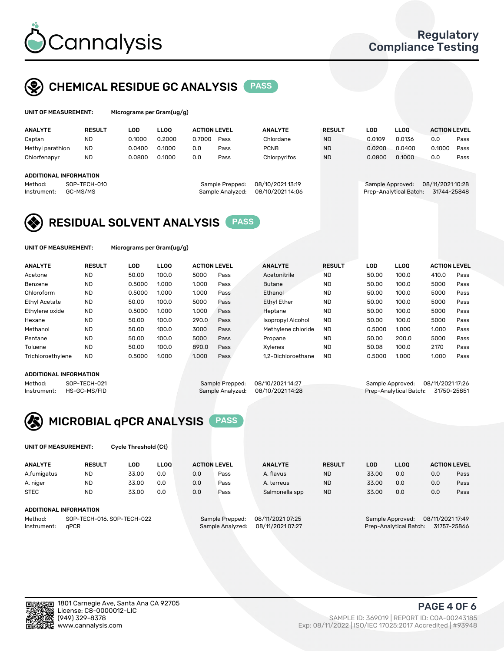

## CHEMICAL RESIDUE GC ANALYSIS PASS

rograms per Gram(ug/g)

| <b>ANALYTE</b>                | <b>RESULT</b> | LOD    | <b>LLOO</b> | <b>ACTION LEVEL</b> |                  | <b>ANALYTE</b>   | <b>RESULT</b> | LOD              | <b>LLOO</b>            | <b>ACTION LEVEL</b> |      |
|-------------------------------|---------------|--------|-------------|---------------------|------------------|------------------|---------------|------------------|------------------------|---------------------|------|
| Captan                        | <b>ND</b>     | 0.1000 | 0.2000      | 0.7000              | Pass             | Chlordane        | <b>ND</b>     | 0.0109           | 0.0136                 | 0.0                 | Pass |
| Methyl parathion              | <b>ND</b>     | 0.0400 | 0.1000      | 0.0                 | Pass             | <b>PCNB</b>      | <b>ND</b>     | 0.0200           | 0.0400                 | 0.1000              | Pass |
| Chlorfenapyr                  | <b>ND</b>     | 0.0800 | 0.1000      | 0.0                 | Pass             | Chlorpyrifos     | <b>ND</b>     | 0.0800           | 0.1000                 | 0.0                 | Pass |
|                               |               |        |             |                     |                  |                  |               |                  |                        |                     |      |
| <b>ADDITIONAL INFORMATION</b> |               |        |             |                     |                  |                  |               |                  |                        |                     |      |
| Method:                       | SOP-TECH-010  |        |             |                     | Sample Prepped:  | 08/10/2021 13:19 |               | Sample Approved: |                        | 08/11/2021 10:28    |      |
| Instrument:                   | GC-MS/MS      |        |             |                     | Sample Analyzed: | 08/10/2021 14:06 |               |                  | Prep-Analytical Batch: | 31744-25848         |      |
|                               |               |        |             |                     |                  |                  |               |                  |                        |                     |      |

## RESIDUAL SOLVENT ANALYSIS PASS

UNIT OF MEASUREMENT: Micrograms per Gram(ug/g)

| <b>ANALYTE</b>       | <b>RESULT</b> | LOD    | <b>LLOO</b> | <b>ACTION LEVEL</b> |      | <b>ANALYTE</b>           | <b>RESULT</b> | LOD    | LLOO  | <b>ACTION LEVEL</b> |      |
|----------------------|---------------|--------|-------------|---------------------|------|--------------------------|---------------|--------|-------|---------------------|------|
| Acetone              | <b>ND</b>     | 50.00  | 100.0       | 5000                | Pass | Acetonitrile             | <b>ND</b>     | 50.00  | 100.0 | 410.0               | Pass |
| Benzene              | <b>ND</b>     | 0.5000 | 1.000       | 1.000               | Pass | <b>Butane</b>            | <b>ND</b>     | 50.00  | 100.0 | 5000                | Pass |
| Chloroform           | <b>ND</b>     | 0.5000 | 1.000       | 1.000               | Pass | Ethanol                  | <b>ND</b>     | 50.00  | 100.0 | 5000                | Pass |
| <b>Ethyl Acetate</b> | <b>ND</b>     | 50.00  | 100.0       | 5000                | Pass | <b>Ethyl Ether</b>       | <b>ND</b>     | 50.00  | 100.0 | 5000                | Pass |
| Ethylene oxide       | <b>ND</b>     | 0.5000 | 1.000       | 1.000               | Pass | Heptane                  | <b>ND</b>     | 50.00  | 100.0 | 5000                | Pass |
| Hexane               | <b>ND</b>     | 50.00  | 100.0       | 290.0               | Pass | <b>Isopropyl Alcohol</b> | <b>ND</b>     | 50.00  | 100.0 | 5000                | Pass |
| Methanol             | <b>ND</b>     | 50.00  | 100.0       | 3000                | Pass | Methylene chloride       | <b>ND</b>     | 0.5000 | 1.000 | 1.000               | Pass |
| Pentane              | <b>ND</b>     | 50.00  | 100.0       | 5000                | Pass | Propane                  | <b>ND</b>     | 50.00  | 200.0 | 5000                | Pass |
| Toluene              | <b>ND</b>     | 50.00  | 100.0       | 890.0               | Pass | Xvlenes                  | <b>ND</b>     | 50.08  | 100.0 | 2170                | Pass |
| Trichloroethylene    | <b>ND</b>     | 0.5000 | 1.000       | 1.000               | Pass | 1.2-Dichloroethane       | <b>ND</b>     | 0.5000 | 1.000 | 1.000               | Pass |

#### ADDITIONAL INFORMATION

Method: SOP-TECH-021 Sample Prepped: 08/10/2021 14:27 Sample Approved: 08/11/2021 17:26<br>Instrument: HS-GC-MS/FID Sample Analyzed: 08/10/2021 14:28 Prep-Analytical Batch: 31750-25851 Prep-Analytical Batch: 31750-25851



UNIT OF MEASUREMENT: Cycle Threshold (Ct)

| <b>ANALYTE</b>                        | <b>RESULT</b>                 | LOD   | <b>LLOO</b> |                 | <b>ACTION LEVEL</b> | <b>ANALYTE</b> | <b>RESULT</b> | <b>LOD</b>       | <b>LLOO</b> |                  | <b>ACTION LEVEL</b> |
|---------------------------------------|-------------------------------|-------|-------------|-----------------|---------------------|----------------|---------------|------------------|-------------|------------------|---------------------|
| A.fumigatus                           | <b>ND</b>                     | 33.00 | 0.0         | 0.0             | Pass                | A. flavus      | <b>ND</b>     | 33.00            | 0.0         | 0.0              | Pass                |
| A. niger                              | <b>ND</b>                     | 33.00 | 0.0         | 0.0             | Pass                | A. terreus     | <b>ND</b>     | 33.00            | 0.0         | 0.0              | Pass                |
| <b>STEC</b>                           | <b>ND</b>                     | 33.00 | 0.0         | 0.0             | Pass                | Salmonella spp | <b>ND</b>     | 33.00            | 0.0         | 0.0              | Pass                |
|                                       | <b>ADDITIONAL INFORMATION</b> |       |             |                 |                     |                |               |                  |             |                  |                     |
| SOP-TECH-016, SOP-TECH-022<br>Method: |                               |       |             | Sample Prepped: | 08/11/2021 07:25    |                |               | Sample Approved: |             | 08/11/2021 17:49 |                     |

Instrument: qPCR Sample Analyzed: 08/11/2021 07:27 Prep-Analytical Batch: 31757-25866

PAGE 4 OF 6

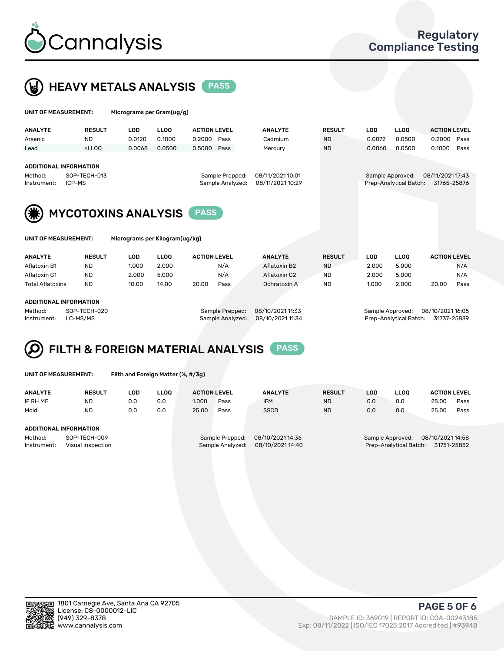



| <b>UNIT OF MEASUREMENT:</b>                                                                         |                        | Micrograms per Gram(ug/g) |             |                                     |                                      |               |                  |                                            |                                 |
|-----------------------------------------------------------------------------------------------------|------------------------|---------------------------|-------------|-------------------------------------|--------------------------------------|---------------|------------------|--------------------------------------------|---------------------------------|
| <b>ANALYTE</b>                                                                                      | <b>RESULT</b>          | <b>LOD</b>                | <b>LLOO</b> | <b>ACTION LEVEL</b>                 | <b>ANALYTE</b>                       | <b>RESULT</b> | <b>LOD</b>       | <b>LLOQ</b>                                | <b>ACTION LEVEL</b>             |
| Arsenic                                                                                             | <b>ND</b>              | 0.0120                    | 0.1000      | 0.2000<br>Pass                      | Cadmium                              | <b>ND</b>     | 0.0072           | 0.0500                                     | 0.2000<br>Pass                  |
| Lead                                                                                                | $<$ LLOO               | 0.0068                    | 0.0500      | Pass<br>0.5000                      | Mercury                              | <b>ND</b>     | 0.0060           | 0.0500                                     | 0.1000<br>Pass                  |
| <b>ADDITIONAL INFORMATION</b><br>Method:<br>Instrument:                                             | SOP-TECH-013<br>ICP-MS |                           |             | Sample Prepped:<br>Sample Analyzed: | 08/11/2021 10:01<br>08/11/2021 10:29 |               |                  | Sample Approved:<br>Prep-Analytical Batch: | 08/11/2021 17:43<br>31765-25876 |
| <b>MYCOTOXINS ANALYSIS</b><br><b>PASS</b><br>UNIT OF MEASUREMENT:<br>Micrograms per Kilogram(ug/kg) |                        |                           |             |                                     |                                      |               |                  |                                            |                                 |
|                                                                                                     |                        |                           |             |                                     |                                      |               |                  |                                            |                                 |
| <b>ANALYTE</b>                                                                                      | <b>RESULT</b>          | <b>LOD</b>                | <b>LLOO</b> | <b>ACTION LEVEL</b>                 | <b>ANALYTE</b>                       | <b>RESULT</b> | LOD              | <b>LLOO</b>                                | <b>ACTION LEVEL</b>             |
| Aflatoxin B1                                                                                        | <b>ND</b>              | 1.000                     | 2.000       | N/A                                 | Aflatoxin B2                         | <b>ND</b>     | 2.000            | 5.000                                      | N/A                             |
| Aflatoxin G1                                                                                        | ND.                    | 2.000                     | 5.000       | N/A                                 | Aflatoxin G2                         | <b>ND</b>     | 2.000            | 5.000                                      | N/A                             |
| <b>Total Aflatoxins</b>                                                                             | <b>ND</b>              | 10.00                     | 14.00       | 20.00<br>Pass                       | Ochratoxin A                         | <b>ND</b>     | 1.000            | 2.000                                      | 20.00<br>Pass                   |
| <b>ADDITIONAL INFORMATION</b><br>Method:                                                            | SOP-TECH-020           |                           |             | Sample Prepped:                     | 08/10/2021 11:33                     |               | Sample Approved: |                                            | 08/10/2021 16:05                |



| UNIT OF MEASUREMENT: |  |  |  |  |
|----------------------|--|--|--|--|
|----------------------|--|--|--|--|

Filth and Foreign Matter (%, #/3g)

| <b>ANALYTE</b>                                              | <b>RESULT</b> | <b>LOD</b> | <b>LLOO</b> | <b>ACTION LEVEL</b>                 |      | <b>ANALYTE</b>                       | <b>RESULT</b> | LOD | <b>LLOO</b>                                                                   | <b>ACTION LEVEL</b> |      |  |
|-------------------------------------------------------------|---------------|------------|-------------|-------------------------------------|------|--------------------------------------|---------------|-----|-------------------------------------------------------------------------------|---------------------|------|--|
| IF RH ME                                                    | <b>ND</b>     | 0.0        | 0.0         | 1.000                               | Pass | <b>IFM</b>                           | <b>ND</b>     | 0.0 | 0.0                                                                           | 25.00               | Pass |  |
| Mold                                                        | <b>ND</b>     | 0.0        | 0.0         | 25.00                               | Pass | <b>SSCD</b>                          | <b>ND</b>     | 0.0 | 0.0                                                                           | 25.00               | Pass |  |
| ADDITIONAL INFORMATION                                      |               |            |             |                                     |      |                                      |               |     |                                                                               |                     |      |  |
| SOP-TECH-009<br>Method:<br>Visual Inspection<br>Instrument: |               |            |             | Sample Prepped:<br>Sample Analyzed: |      | 08/10/2021 14:36<br>08/10/2021 14:40 |               |     | 08/10/2021 14:58<br>Sample Approved:<br>31751-25852<br>Prep-Analytical Batch: |                     |      |  |

Instrument: LC-MS/MS Sample Analyzed: 08/10/2021 11:34 Prep-Analytical Batch: 31737-25839